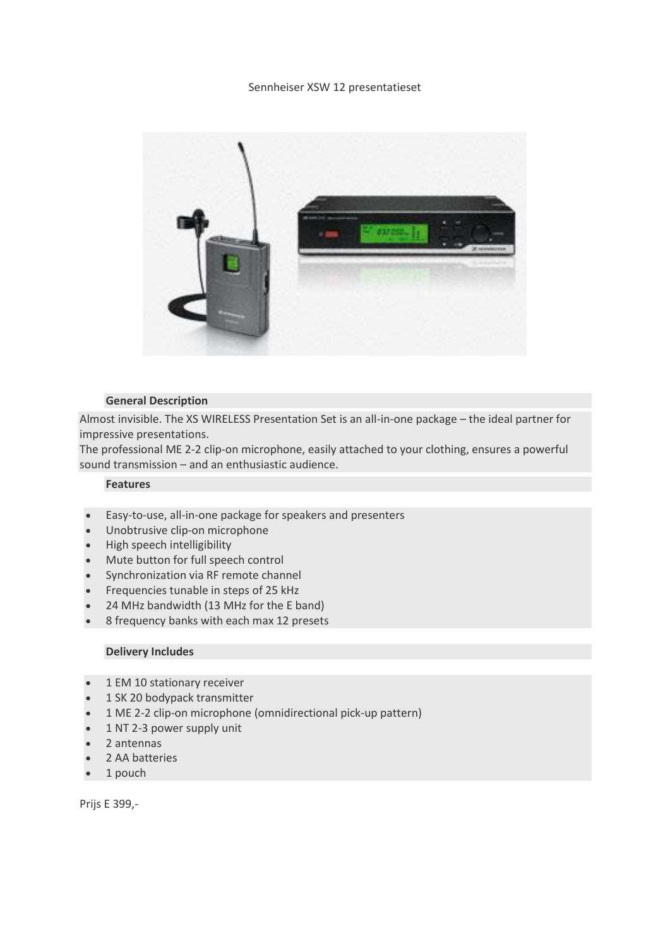### Sennheiser XSW 12 presentatieset



### **General Description**

Almost invisible. The XS WIRELESS Presentation Set is an all-in-one package – the ideal partner for impressive presentations.

The professional ME 2-2 clip-on microphone, easily attached to your clothing, ensures a powerful sound transmission – and an enthusiastic audience.

### **Features**

- Easy-to-use, all-in-one package for speakers and presenters
- Unobtrusive clip-on microphone
- High speech intelligibility
- Mute button for full speech control
- Synchronization via RF remote channel
- Frequencies tunable in steps of 25 kHz
- 24 MHz bandwidth (13 MHz for the E band)
- 8 frequency banks with each max 12 presets

# **Delivery Includes**

- 1 EM 10 stationary receiver
- 1 SK 20 bodypack transmitter
- 1 ME 2-2 clip-on microphone (omnidirectional pick-up pattern)
- 1 NT 2-3 power supply unit
- 2 antennas
- 2 AA batteries
- 1 pouch

Prijs E 399,-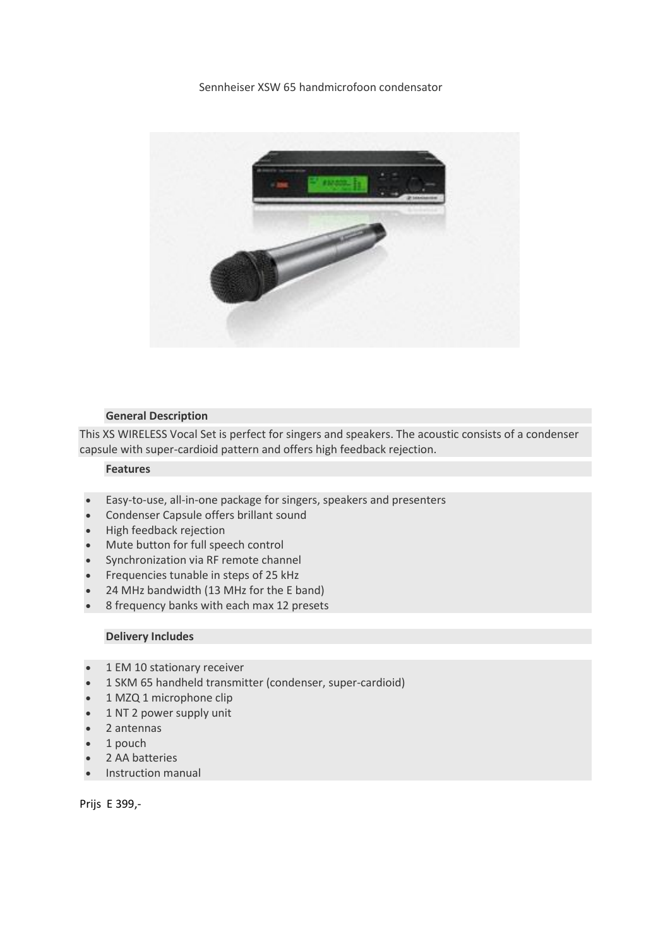# Sennheiser XSW 65 handmicrofoon condensator



# **General Description**

This XS WIRELESS Vocal Set is perfect for singers and speakers. The acoustic consists of a condenser capsule with super-cardioid pattern and offers high feedback rejection.

# **Features**

- Easy-to-use, all-in-one package for singers, speakers and presenters
- Condenser Capsule offers brillant sound
- High feedback rejection
- Mute button for full speech control
- Synchronization via RF remote channel
- Frequencies tunable in steps of 25 kHz
- 24 MHz bandwidth (13 MHz for the E band)
- 8 frequency banks with each max 12 presets

# **Delivery Includes**

- 1 EM 10 stationary receiver
- 1 SKM 65 handheld transmitter (condenser, super-cardioid)
- 1 MZQ 1 microphone clip
- 1 NT 2 power supply unit
- 2 antennas
- 1 pouch
- 2 AA batteries
- Instruction manual

Prijs E 399,-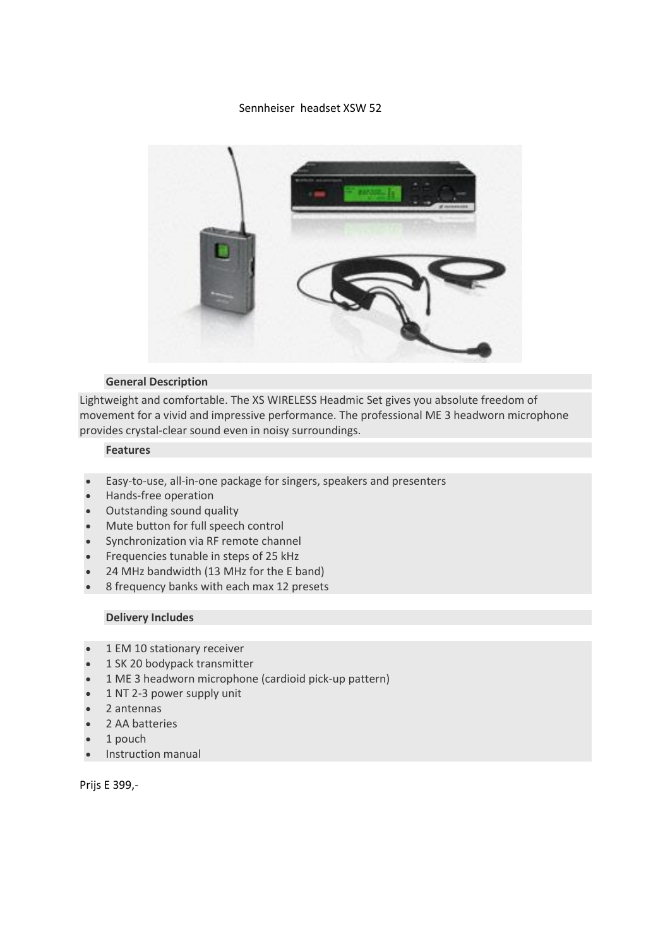### Sennheiser headset XSW 52



#### **General Description**

Lightweight and comfortable. The XS WIRELESS Headmic Set gives you absolute freedom of movement for a vivid and impressive performance. The professional ME 3 headworn microphone provides crystal-clear sound even in noisy surroundings.

# **Features**

- Easy-to-use, all-in-one package for singers, speakers and presenters
- Hands-free operation
- Outstanding sound quality
- Mute button for full speech control
- Synchronization via RF remote channel
- Frequencies tunable in steps of 25 kHz
- 24 MHz bandwidth (13 MHz for the E band)
- 8 frequency banks with each max 12 presets

# **Delivery Includes**

- 1 EM 10 stationary receiver
- 1 SK 20 bodypack transmitter
- 1 ME 3 headworn microphone (cardioid pick-up pattern)
- 1 NT 2-3 power supply unit
- 2 antennas
- 2 AA batteries
- 1 pouch
- Instruction manual

Prijs E 399,-